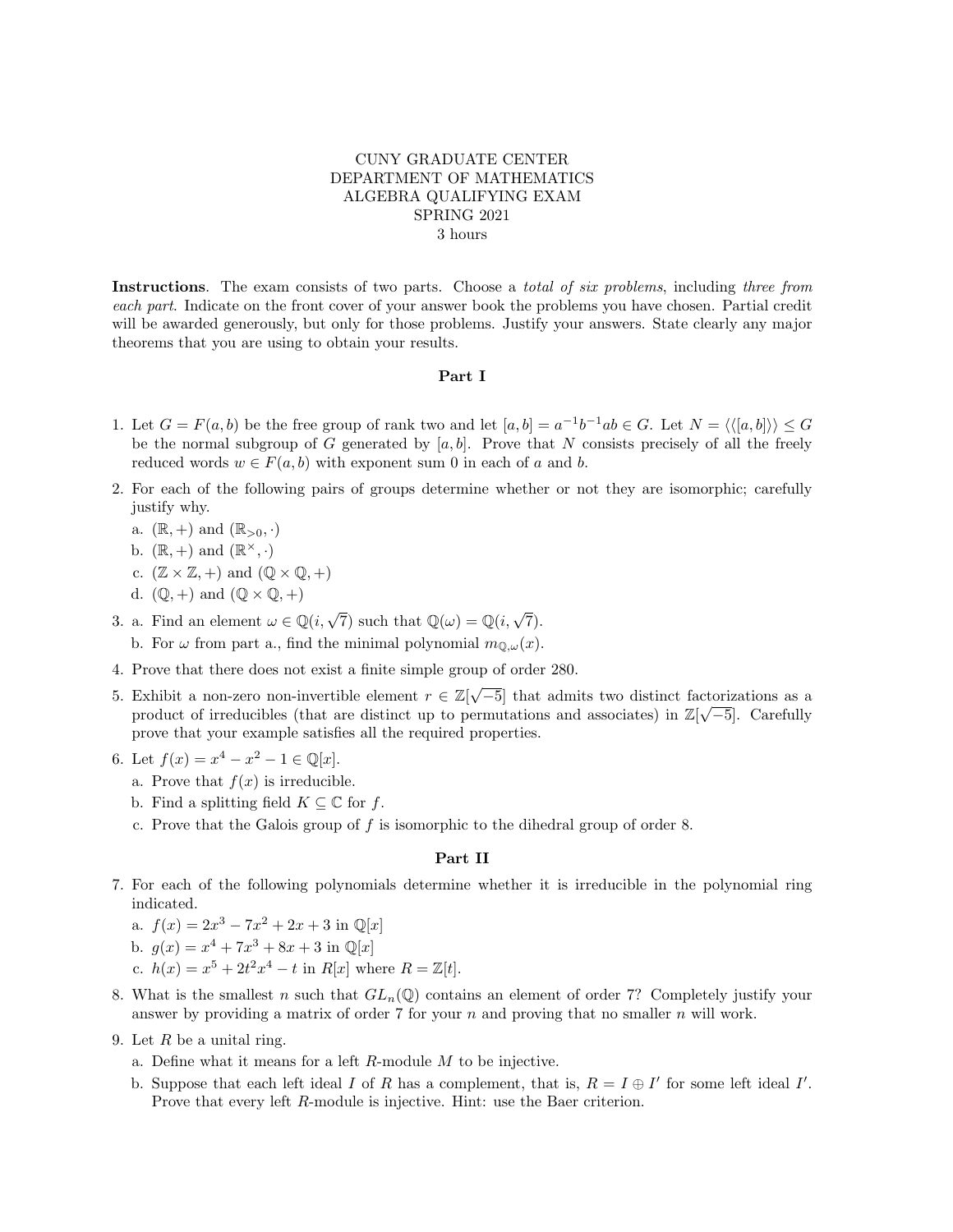## CUNY GRADUATE CENTER DEPARTMENT OF MATHEMATICS ALGEBRA QUALIFYING EXAM SPRING 2021 3 hours

Instructions. The exam consists of two parts. Choose a *total of six problems*, including three from each part. Indicate on the front cover of your answer book the problems you have chosen. Partial credit will be awarded generously, but only for those problems. Justify your answers. State clearly any major theorems that you are using to obtain your results.

## Part I

- 1. Let  $G = F(a, b)$  be the free group of rank two and let  $[a, b] = a^{-1}b^{-1}ab \in G$ . Let  $N = \langle \langle [a, b] \rangle \rangle \le G$ be the normal subgroup of G generated by  $[a, b]$ . Prove that N consists precisely of all the freely reduced words  $w \in F(a, b)$  with exponent sum 0 in each of a and b.
- 2. For each of the following pairs of groups determine whether or not they are isomorphic; carefully justify why.
	- a.  $(\mathbb{R}, +)$  and  $(\mathbb{R}_{>0}, \cdot)$
	- b.  $(\mathbb{R}, +)$  and  $(\mathbb{R}^{\times}, \cdot)$
	- c.  $(\mathbb{Z} \times \mathbb{Z}, +)$  and  $(\mathbb{Q} \times \mathbb{Q}, +)$
	- d.  $(\mathbb{Q}, +)$  and  $(\mathbb{Q} \times \mathbb{Q}, +)$
- 3. a. Find an element  $\omega \in \mathbb{Q}(i,\sqrt{7})$  such that  $\mathbb{Q}(\omega) = \mathbb{Q}(i,\sqrt{7})$ . b. For  $\omega$  from part a., find the minimal polynomial  $m_{\mathbb{Q},\omega}(x)$ .
- 4. Prove that there does not exist a finite simple group of order 280.
- 5. Exhibit a non-zero non-invertible element  $r \in \mathbb{Z}[\sqrt{-5}]$  that admits two distinct factorizations as a product of irreducibles (that are distinct up to permutations and associates) in  $\mathbb{Z}[\sqrt{-5}]$ . Carefully prove that your example satisfies all the required properties.
- 6. Let  $f(x) = x^4 x^2 1 \in \mathbb{Q}[x]$ .
	- a. Prove that  $f(x)$  is irreducible.
	- b. Find a splitting field  $K \subseteq \mathbb{C}$  for f.
	- c. Prove that the Galois group of  $f$  is isomorphic to the dihedral group of order 8.

## Part II

- 7. For each of the following polynomials determine whether it is irreducible in the polynomial ring indicated.
	- a.  $f(x) = 2x^3 7x^2 + 2x + 3$  in  $\mathbb{Q}[x]$
	- b.  $g(x) = x^4 + 7x^3 + 8x + 3$  in  $\mathbb{Q}[x]$
	- c.  $h(x) = x^5 + 2t^2x^4 t$  in  $R[x]$  where  $R = \mathbb{Z}[t]$ .
- 8. What is the smallest n such that  $GL_n(\mathbb{Q})$  contains an element of order 7? Completely justify your answer by providing a matrix of order 7 for your n and proving that no smaller n will work.
- 9. Let  $R$  be a unital ring.
	- a. Define what it means for a left R-module M to be injective.
	- b. Suppose that each left ideal I of R has a complement, that is,  $R = I \oplus I'$  for some left ideal I'. Prove that every left R-module is injective. Hint: use the Baer criterion.